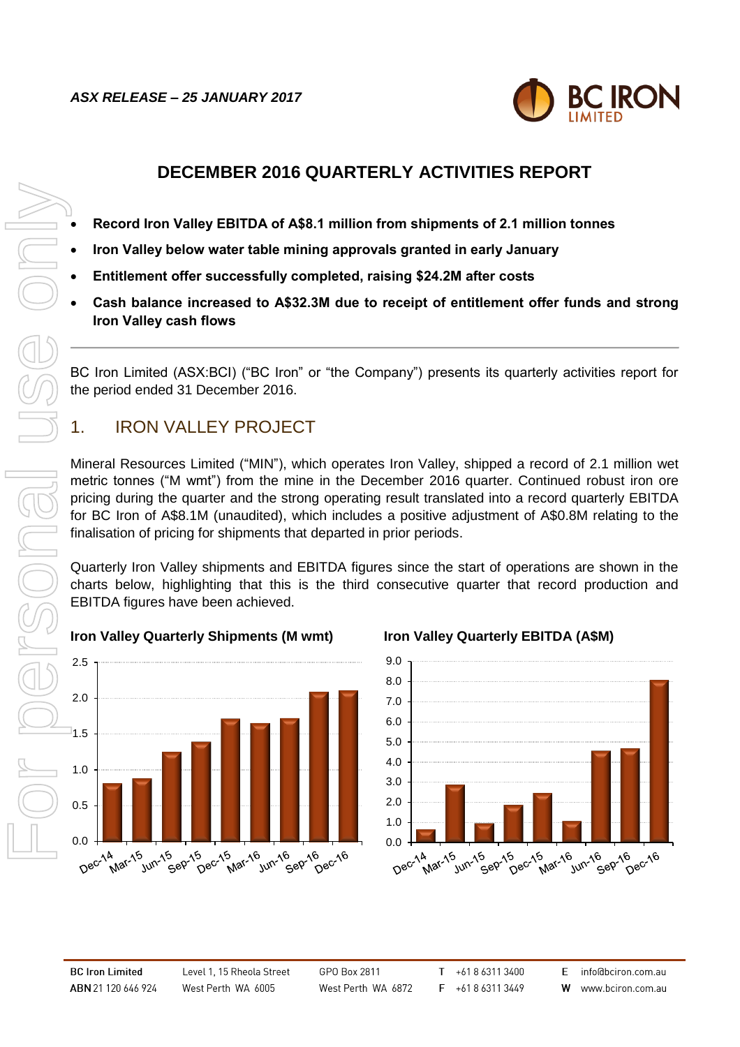

# **DECEMBER 2016 QUARTERLY ACTIVITIES REPORT**

- **Record Iron Valley EBITDA of A\$8.1 million from shipments of 2.1 million tonnes**
- **Iron Valley below water table mining approvals granted in early January**
- **Entitlement offer successfully completed, raising \$24.2M after costs**
- **Cash balance increased to A\$32.3M due to receipt of entitlement offer funds and strong Iron Valley cash flows**

BC Iron Limited (ASX:BCI) ("BC Iron" or "the Company") presents its quarterly activities report for the period ended 31 December 2016.

# 1. IRON VALLEY PROJECT

Mineral Resources Limited ("MIN"), which operates Iron Valley, shipped a record of 2.1 million wet metric tonnes ("M wmt") from the mine in the December 2016 quarter. Continued robust iron ore pricing during the quarter and the strong operating result translated into a record quarterly EBITDA for BC Iron of A\$8.1M (unaudited), which includes a positive adjustment of A\$0.8M relating to the finalisation of pricing for shipments that departed in prior periods.

Quarterly Iron Valley shipments and EBITDA figures since the start of operations are shown in the charts below, highlighting that this is the third consecutive quarter that record production and EBITDA figures have been achieved.

### **Iron Valley Quarterly Shipments (M wmt) Iron Valley Quarterly EBITDA (A\$M)**



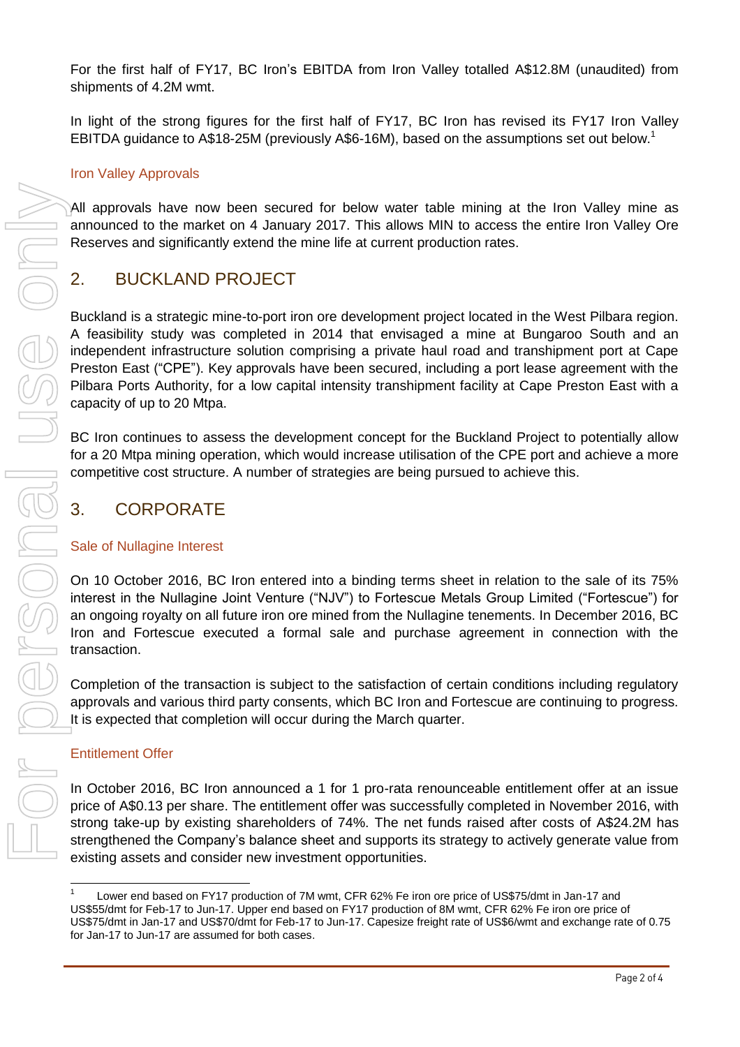For the first half of FY17, BC Iron's EBITDA from Iron Valley totalled A\$12.8M (unaudited) from shipments of 4.2M wmt.

In light of the strong figures for the first half of FY17, BC Iron has revised its FY17 Iron Valley EBITDA guidance to A\$18-25M (previously A\$6-16M), based on the assumptions set out below.<sup>1</sup>

#### Iron Valley Approvals

All approvals have now been secured for below water table mining at the Iron Valley mine as announced to the market on 4 January 2017. This allows MIN to access the entire Iron Valley Ore Reserves and significantly extend the mine life at current production rates.

## 2. BUCKLAND PROJECT

Buckland is a strategic mine-to-port iron ore development project located in the West Pilbara region. A feasibility study was completed in 2014 that envisaged a mine at Bungaroo South and an independent infrastructure solution comprising a private haul road and transhipment port at Cape Preston East ("CPE"). Key approvals have been secured, including a port lease agreement with the Pilbara Ports Authority, for a low capital intensity transhipment facility at Cape Preston East with a capacity of up to 20 Mtpa.

BC Iron continues to assess the development concept for the Buckland Project to potentially allow for a 20 Mtpa mining operation, which would increase utilisation of the CPE port and achieve a more competitive cost structure. A number of strategies are being pursued to achieve this.

## 3. CORPORATE

#### Sale of Nullagine Interest

On 10 October 2016, BC Iron entered into a binding terms sheet in relation to the sale of its 75% interest in the Nullagine Joint Venture ("NJV") to Fortescue Metals Group Limited ("Fortescue") for an ongoing royalty on all future iron ore mined from the Nullagine tenements. In December 2016, BC Iron and Fortescue executed a formal sale and purchase agreement in connection with the transaction.

Completion of the transaction is subject to the satisfaction of certain conditions including regulatory approvals and various third party consents, which BC Iron and Fortescue are continuing to progress. It is expected that completion will occur during the March quarter.

#### Entitlement Offer

 $\overline{a}$ 

In October 2016, BC Iron announced a 1 for 1 pro-rata renounceable entitlement offer at an issue price of A\$0.13 per share. The entitlement offer was successfully completed in November 2016, with strong take-up by existing shareholders of 74%. The net funds raised after costs of A\$24.2M has strengthened the Company's balance sheet and supports its strategy to actively generate value from existing assets and consider new investment opportunities.

<sup>1</sup> Lower end based on FY17 production of 7M wmt, CFR 62% Fe iron ore price of US\$75/dmt in Jan-17 and US\$55/dmt for Feb-17 to Jun-17. Upper end based on FY17 production of 8M wmt, CFR 62% Fe iron ore price of US\$75/dmt in Jan-17 and US\$70/dmt for Feb-17 to Jun-17. Capesize freight rate of US\$6/wmt and exchange rate of 0.75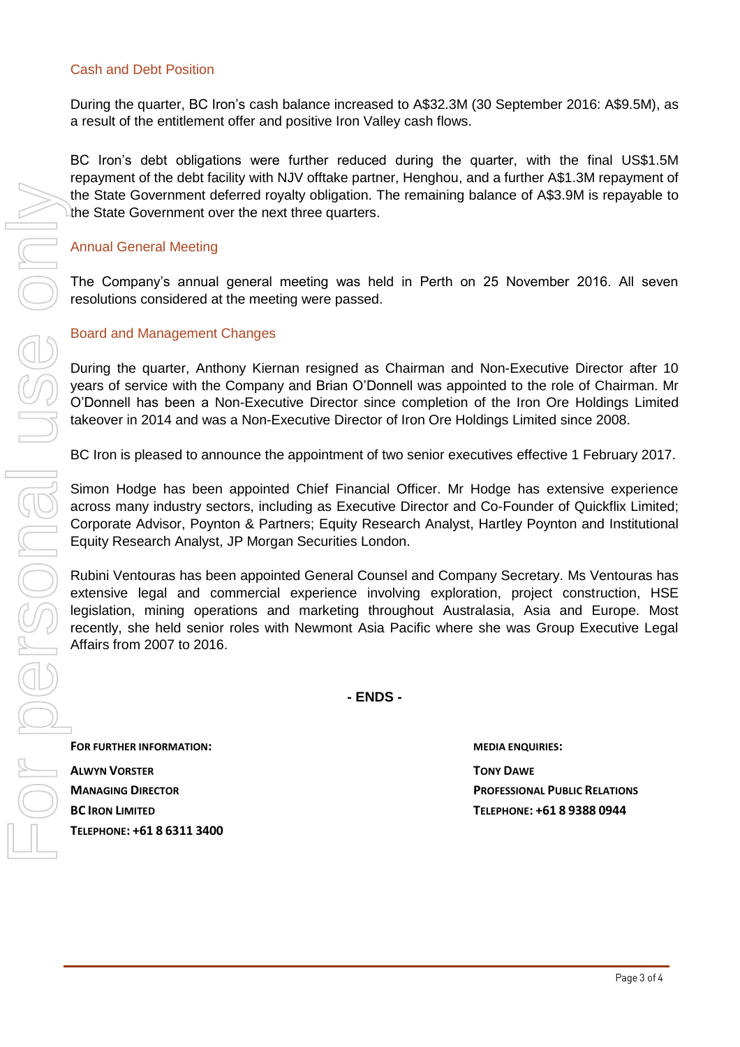#### Cash and Debt Position

During the quarter, BC Iron's cash balance increased to A\$32.3M (30 September 2016: A\$9.5M), as a result of the entitlement offer and positive Iron Valley cash flows.

BC Iron's debt obligations were further reduced during the quarter, with the final US\$1.5M repayment of the debt facility with NJV offtake partner, Henghou, and a further A\$1.3M repayment of the State Government deferred royalty obligation. The remaining balance of A\$3.9M is repayable to the State Government over the next three quarters.

#### Annual General Meeting

The Company's annual general meeting was held in Perth on 25 November 2016. All seven resolutions considered at the meeting were passed.

#### Board and Management Changes

During the quarter, Anthony Kiernan resigned as Chairman and Non-Executive Director after 10 years of service with the Company and Brian O'Donnell was appointed to the role of Chairman. Mr O'Donnell has been a Non-Executive Director since completion of the Iron Ore Holdings Limited takeover in 2014 and was a Non-Executive Director of Iron Ore Holdings Limited since 2008.

BC Iron is pleased to announce the appointment of two senior executives effective 1 February 2017.

Simon Hodge has been appointed Chief Financial Officer. Mr Hodge has extensive experience across many industry sectors, including as Executive Director and Co-Founder of Quickflix Limited; Corporate Advisor, Poynton & Partners; Equity Research Analyst, Hartley Poynton and Institutional Equity Research Analyst, JP Morgan Securities London.

Rubini Ventouras has been appointed General Counsel and Company Secretary. Ms Ventouras has extensive legal and commercial experience involving exploration, project construction, HSE legislation, mining operations and marketing throughout Australasia, Asia and Europe. Most recently, she held senior roles with Newmont Asia Pacific where she was Group Executive Legal Affairs from 2007 to 2016.

**- ENDS -**

**FOR FURTHER INFORMATION: MEDIA ENQUIRIES: ALWYN VORSTER TONY DAWE**

**MANAGING DIRECTOR PROFESSIONAL PUBLIC RELATIONS BC IRON LIMITED TELEPHONE: +61 8 9388 0944**